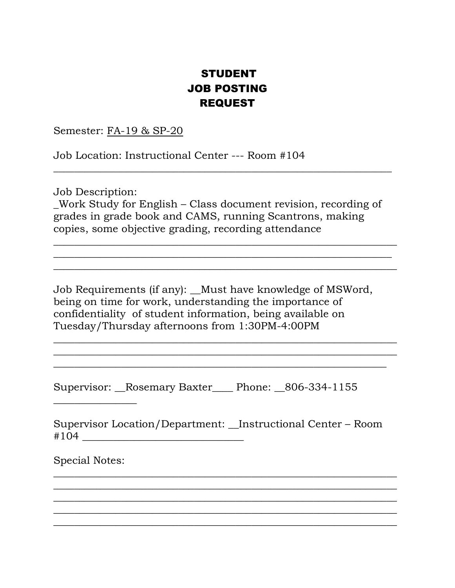#### STUDENT JOB POSTING REQUEST

Semester: FA-19 & SP-20

Job Location: Instructional Center --- Room #104

Job Description:

\_Work Study for English – Class document revision, recording of grades in grade book and CAMS, running Scantrons, making copies, some objective grading, recording attendance

\_\_\_\_\_\_\_\_\_\_\_\_\_\_\_\_\_\_\_\_\_\_\_\_\_\_\_\_\_\_\_\_\_\_\_\_\_\_\_\_\_\_\_\_\_\_\_\_\_\_\_\_\_\_\_\_\_\_\_\_\_\_\_\_\_\_ \_\_\_\_\_\_\_\_\_\_\_\_\_\_\_\_\_\_\_\_\_\_\_\_\_\_\_\_\_\_\_\_\_\_\_\_\_\_\_\_\_\_\_\_\_\_\_\_\_\_\_\_\_\_\_\_\_\_\_\_\_\_\_\_\_ \_\_\_\_\_\_\_\_\_\_\_\_\_\_\_\_\_\_\_\_\_\_\_\_\_\_\_\_\_\_\_\_\_\_\_\_\_\_\_\_\_\_\_\_\_\_\_\_\_\_\_\_\_\_\_\_\_\_\_\_\_\_\_\_\_\_

 $\overline{\phantom{a}}$  , and the contract of the contract of the contract of the contract of the contract of the contract of the contract of the contract of the contract of the contract of the contract of the contract of the contrac

Job Requirements (if any): Must have knowledge of MSWord, being on time for work, understanding the importance of confidentiality of student information, being available on Tuesday/Thursday afternoons from 1:30PM-4:00PM

 $\overline{\phantom{a}}$  , and the contract of the contract of the contract of the contract of the contract of the contract of the contract of the contract of the contract of the contract of the contract of the contract of the contrac  $\overline{\phantom{a}}$  , and the contract of the contract of the contract of the contract of the contract of the contract of the contract of the contract of the contract of the contract of the contract of the contract of the contrac \_\_\_\_\_\_\_\_\_\_\_\_\_\_\_\_\_\_\_\_\_\_\_\_\_\_\_\_\_\_\_\_\_\_\_\_\_\_\_\_\_\_\_\_\_\_\_\_\_\_\_\_\_\_\_\_\_\_\_\_\_\_\_\_

Supervisor: \_\_Rosemary Baxter\_\_\_\_ Phone: \_\_806-334-1155

Supervisor Location/Department: \_\_Instructional Center – Room #104 \_\_\_\_\_\_\_\_\_\_\_\_\_\_\_\_\_\_\_\_\_\_\_\_\_\_\_\_\_\_\_

 $\overline{\phantom{a}}$  , and the contract of the contract of the contract of the contract of the contract of the contract of the contract of the contract of the contract of the contract of the contract of the contract of the contrac  $\overline{\phantom{a}}$  , and the contract of the contract of the contract of the contract of the contract of the contract of the contract of the contract of the contract of the contract of the contract of the contract of the contrac  $\overline{\phantom{a}}$  ,  $\overline{\phantom{a}}$  ,  $\overline{\phantom{a}}$  ,  $\overline{\phantom{a}}$  ,  $\overline{\phantom{a}}$  ,  $\overline{\phantom{a}}$  ,  $\overline{\phantom{a}}$  ,  $\overline{\phantom{a}}$  ,  $\overline{\phantom{a}}$  ,  $\overline{\phantom{a}}$  ,  $\overline{\phantom{a}}$  ,  $\overline{\phantom{a}}$  ,  $\overline{\phantom{a}}$  ,  $\overline{\phantom{a}}$  ,  $\overline{\phantom{a}}$  ,  $\overline{\phantom{a}}$  $\overline{\phantom{a}}$  , and the contract of the contract of the contract of the contract of the contract of the contract of the contract of the contract of the contract of the contract of the contract of the contract of the contrac  $\overline{\phantom{a}}$  , and the contract of the contract of the contract of the contract of the contract of the contract of the contract of the contract of the contract of the contract of the contract of the contract of the contrac

Special Notes:

 $\overline{\phantom{a}}$  , where  $\overline{\phantom{a}}$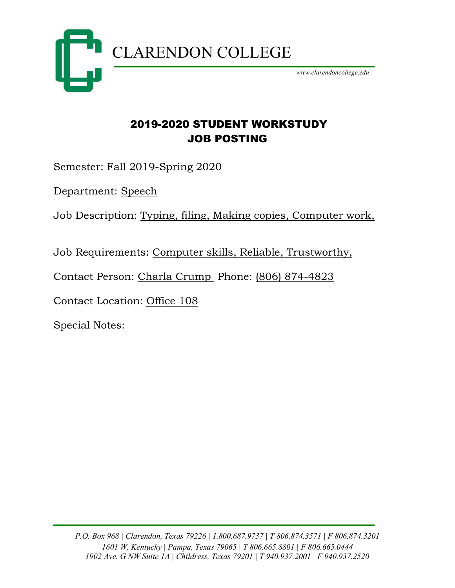

### 2019-2020 STUDENT WORKSTUDY JOB POSTING

Semester: Fall 2019-Spring 2020

Department: Speech

Job Description: Typing, filing, Making copies, Computer work,

Job Requirements: Computer skills, Reliable, Trustworthy,

Contact Person: Charla Crump Phone: (806) 874-4823

Contact Location: Office 108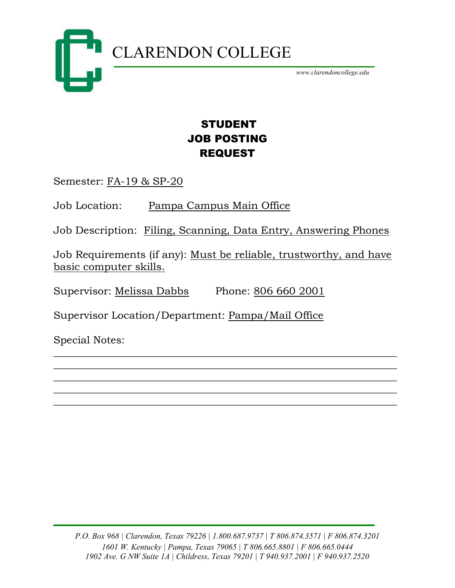

## STUDENT JOB POSTING REQUEST

Semester: FA-19 & SP-20

Job Location: Pampa Campus Main Office

Job Description: Filing, Scanning, Data Entry, Answering Phones

Job Requirements (if any): Must be reliable, trustworthy, and have basic computer skills.

\_\_\_\_\_\_\_\_\_\_\_\_\_\_\_\_\_\_\_\_\_\_\_\_\_\_\_\_\_\_\_\_\_\_\_\_\_\_\_\_\_\_\_\_\_\_\_\_\_\_\_\_\_\_\_\_\_\_\_\_\_\_\_\_\_\_ \_\_\_\_\_\_\_\_\_\_\_\_\_\_\_\_\_\_\_\_\_\_\_\_\_\_\_\_\_\_\_\_\_\_\_\_\_\_\_\_\_\_\_\_\_\_\_\_\_\_\_\_\_\_\_\_\_\_\_\_\_\_\_\_\_\_ \_\_\_\_\_\_\_\_\_\_\_\_\_\_\_\_\_\_\_\_\_\_\_\_\_\_\_\_\_\_\_\_\_\_\_\_\_\_\_\_\_\_\_\_\_\_\_\_\_\_\_\_\_\_\_\_\_\_\_\_\_\_\_\_\_\_ \_\_\_\_\_\_\_\_\_\_\_\_\_\_\_\_\_\_\_\_\_\_\_\_\_\_\_\_\_\_\_\_\_\_\_\_\_\_\_\_\_\_\_\_\_\_\_\_\_\_\_\_\_\_\_\_\_\_\_\_\_\_\_\_\_\_ \_\_\_\_\_\_\_\_\_\_\_\_\_\_\_\_\_\_\_\_\_\_\_\_\_\_\_\_\_\_\_\_\_\_\_\_\_\_\_\_\_\_\_\_\_\_\_\_\_\_\_\_\_\_\_\_\_\_\_\_\_\_\_\_\_\_

Supervisor: Melissa Dabbs Phone: 806 660 2001

Supervisor Location/Department: Pampa/Mail Office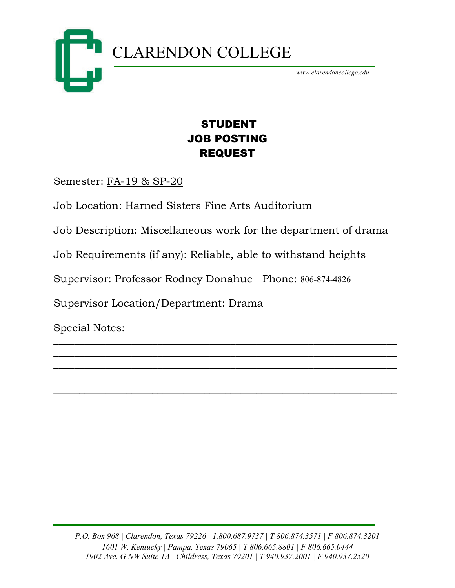

## STUDENT JOB POSTING REQUEST

Semester: FA-19 & SP-20

Job Location: Harned Sisters Fine Arts Auditorium

Job Description: Miscellaneous work for the department of drama

\_\_\_\_\_\_\_\_\_\_\_\_\_\_\_\_\_\_\_\_\_\_\_\_\_\_\_\_\_\_\_\_\_\_\_\_\_\_\_\_\_\_\_\_\_\_\_\_\_\_\_\_\_\_\_\_\_\_\_\_\_\_\_\_\_\_  $\overline{\phantom{a}}$  , and the contract of the contract of the contract of the contract of the contract of the contract of the contract of the contract of the contract of the contract of the contract of the contract of the contrac  $\overline{\phantom{a}}$  , and the contract of the contract of the contract of the contract of the contract of the contract of the contract of the contract of the contract of the contract of the contract of the contract of the contrac  $\overline{\phantom{a}}$  , and the contract of the contract of the contract of the contract of the contract of the contract of the contract of the contract of the contract of the contract of the contract of the contract of the contrac  $\overline{\phantom{a}}$  , and the contract of the contract of the contract of the contract of the contract of the contract of the contract of the contract of the contract of the contract of the contract of the contract of the contrac

Job Requirements (if any): Reliable, able to withstand heights

Supervisor: Professor Rodney Donahue Phone: 806-874-4826

Supervisor Location/Department: Drama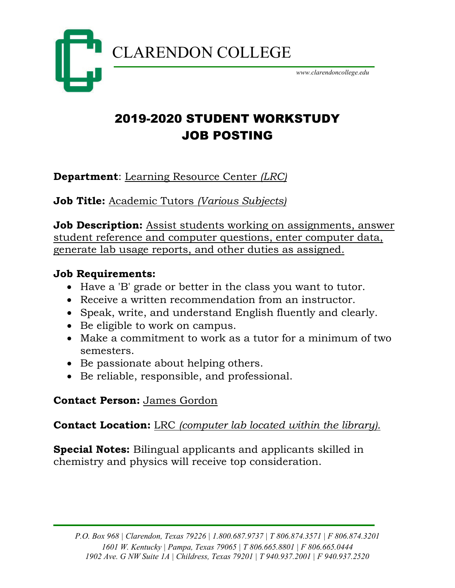

# 2019-2020 STUDENT WORKSTUDY JOB POSTING

**Department**: Learning Resource Center *(LRC)*

**Job Title:** Academic Tutors *(Various Subjects)*

**Job Description:** Assist students working on assignments, answer student reference and computer questions, enter computer data, generate lab usage reports, and other duties as assigned.

#### **Job Requirements:**

- Have a 'B' grade or better in the class you want to tutor.
- Receive a written recommendation from an instructor.
- Speak, write, and understand English fluently and clearly.
- Be eligible to work on campus.
- Make a commitment to work as a tutor for a minimum of two semesters.
- Be passionate about helping others.
- Be reliable, responsible, and professional.

## **Contact Person:** James Gordon

### **Contact Location:** LRC *(computer lab located within the library).*

**Special Notes:** Bilingual applicants and applicants skilled in chemistry and physics will receive top consideration.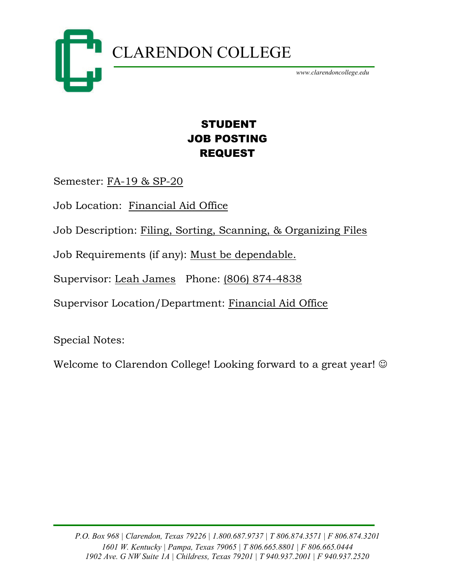

## STUDENT JOB POSTING REQUEST

Semester: FA-19 & SP-20

Job Location: Financial Aid Office

Job Description: Filing, Sorting, Scanning, & Organizing Files

Job Requirements (if any): Must be dependable.

Supervisor: Leah James Phone: (806) 874-4838

Supervisor Location/Department: Financial Aid Office

Special Notes:

Welcome to Clarendon College! Looking forward to a great year!  $\odot$ 

*P.O. Box 968 | Clarendon, Texas 79226 | 1.800.687.9737 | T 806.874.3571 | F 806.874.3201 1601 W. Kentucky | Pampa, Texas 79065 | T 806.665.8801 | F 806.665.0444 1902 Ave. G NW Suite 1A | Childress, Texas 79201 | T 940.937.2001 | F 940.937.2520*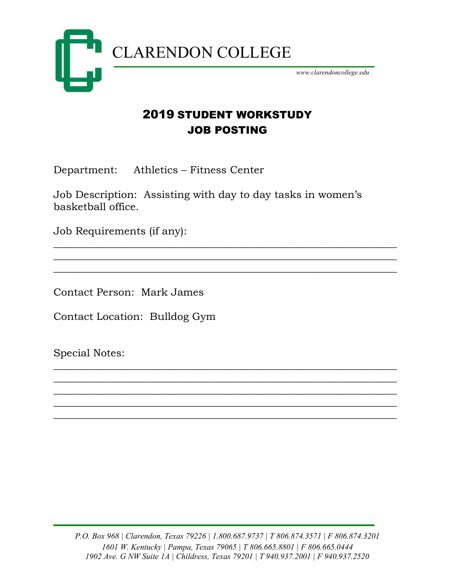

### 2019 STUDENT WORKSTUDY JOB POSTING

Department: Athletics – Fitness Center

Job Description: Assisting with day to day tasks in women's basketball office.

\_\_\_\_\_\_\_\_\_\_\_\_\_\_\_\_\_\_\_\_\_\_\_\_\_\_\_\_\_\_\_\_\_\_\_\_\_\_\_\_\_\_\_\_\_\_\_\_\_\_\_\_\_\_\_\_\_\_\_\_\_\_\_\_\_\_ \_\_\_\_\_\_\_\_\_\_\_\_\_\_\_\_\_\_\_\_\_\_\_\_\_\_\_\_\_\_\_\_\_\_\_\_\_\_\_\_\_\_\_\_\_\_\_\_\_\_\_\_\_\_\_\_\_\_\_\_\_\_\_\_\_\_  $\overline{\phantom{a}}$  , and the contract of the contract of the contract of the contract of the contract of the contract of the contract of the contract of the contract of the contract of the contract of the contract of the contrac

\_\_\_\_\_\_\_\_\_\_\_\_\_\_\_\_\_\_\_\_\_\_\_\_\_\_\_\_\_\_\_\_\_\_\_\_\_\_\_\_\_\_\_\_\_\_\_\_\_\_\_\_\_\_\_\_\_\_\_\_\_\_\_\_\_\_ \_\_\_\_\_\_\_\_\_\_\_\_\_\_\_\_\_\_\_\_\_\_\_\_\_\_\_\_\_\_\_\_\_\_\_\_\_\_\_\_\_\_\_\_\_\_\_\_\_\_\_\_\_\_\_\_\_\_\_\_\_\_\_\_\_\_ \_\_\_\_\_\_\_\_\_\_\_\_\_\_\_\_\_\_\_\_\_\_\_\_\_\_\_\_\_\_\_\_\_\_\_\_\_\_\_\_\_\_\_\_\_\_\_\_\_\_\_\_\_\_\_\_\_\_\_\_\_\_\_\_\_\_  $\overline{\phantom{a}}$  , and the contract of the contract of the contract of the contract of the contract of the contract of the contract of the contract of the contract of the contract of the contract of the contract of the contrac \_\_\_\_\_\_\_\_\_\_\_\_\_\_\_\_\_\_\_\_\_\_\_\_\_\_\_\_\_\_\_\_\_\_\_\_\_\_\_\_\_\_\_\_\_\_\_\_\_\_\_\_\_\_\_\_\_\_\_\_\_\_\_\_\_\_

Job Requirements (if any):

Contact Person: Mark James

Contact Location: Bulldog Gym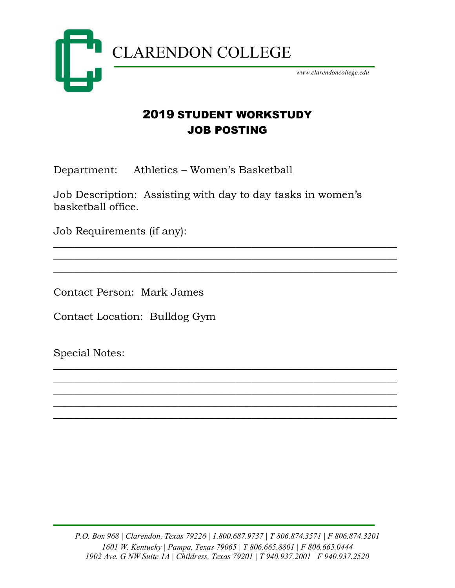

## 2019 STUDENT WORKSTUDY JOB POSTING

Department: Athletics – Women's Basketball

Job Description: Assisting with day to day tasks in women's basketball office.

\_\_\_\_\_\_\_\_\_\_\_\_\_\_\_\_\_\_\_\_\_\_\_\_\_\_\_\_\_\_\_\_\_\_\_\_\_\_\_\_\_\_\_\_\_\_\_\_\_\_\_\_\_\_\_\_\_\_\_\_\_\_\_\_\_\_ \_\_\_\_\_\_\_\_\_\_\_\_\_\_\_\_\_\_\_\_\_\_\_\_\_\_\_\_\_\_\_\_\_\_\_\_\_\_\_\_\_\_\_\_\_\_\_\_\_\_\_\_\_\_\_\_\_\_\_\_\_\_\_\_\_\_  $\overline{\phantom{a}}$  , and the contract of the contract of the contract of the contract of the contract of the contract of the contract of the contract of the contract of the contract of the contract of the contract of the contrac

\_\_\_\_\_\_\_\_\_\_\_\_\_\_\_\_\_\_\_\_\_\_\_\_\_\_\_\_\_\_\_\_\_\_\_\_\_\_\_\_\_\_\_\_\_\_\_\_\_\_\_\_\_\_\_\_\_\_\_\_\_\_\_\_\_\_ \_\_\_\_\_\_\_\_\_\_\_\_\_\_\_\_\_\_\_\_\_\_\_\_\_\_\_\_\_\_\_\_\_\_\_\_\_\_\_\_\_\_\_\_\_\_\_\_\_\_\_\_\_\_\_\_\_\_\_\_\_\_\_\_\_\_ \_\_\_\_\_\_\_\_\_\_\_\_\_\_\_\_\_\_\_\_\_\_\_\_\_\_\_\_\_\_\_\_\_\_\_\_\_\_\_\_\_\_\_\_\_\_\_\_\_\_\_\_\_\_\_\_\_\_\_\_\_\_\_\_\_\_ \_\_\_\_\_\_\_\_\_\_\_\_\_\_\_\_\_\_\_\_\_\_\_\_\_\_\_\_\_\_\_\_\_\_\_\_\_\_\_\_\_\_\_\_\_\_\_\_\_\_\_\_\_\_\_\_\_\_\_\_\_\_\_\_\_\_ \_\_\_\_\_\_\_\_\_\_\_\_\_\_\_\_\_\_\_\_\_\_\_\_\_\_\_\_\_\_\_\_\_\_\_\_\_\_\_\_\_\_\_\_\_\_\_\_\_\_\_\_\_\_\_\_\_\_\_\_\_\_\_\_\_\_

Job Requirements (if any):

Contact Person: Mark James

Contact Location: Bulldog Gym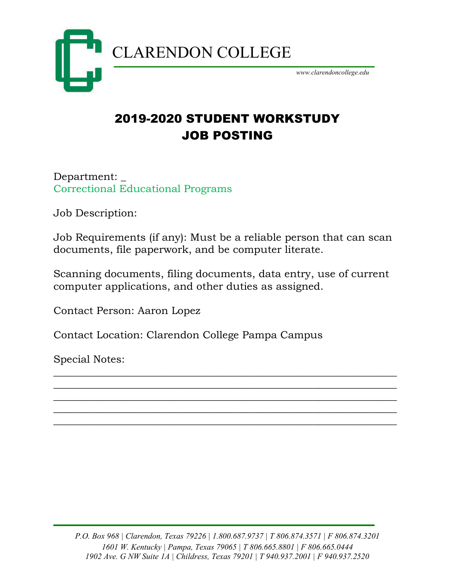

# 2019-2020 STUDENT WORKSTUDY JOB POSTING

Department: \_ Correctional Educational Programs

Job Description:

Job Requirements (if any): Must be a reliable person that can scan documents, file paperwork, and be computer literate.

Scanning documents, filing documents, data entry, use of current computer applications, and other duties as assigned.

\_\_\_\_\_\_\_\_\_\_\_\_\_\_\_\_\_\_\_\_\_\_\_\_\_\_\_\_\_\_\_\_\_\_\_\_\_\_\_\_\_\_\_\_\_\_\_\_\_\_\_\_\_\_\_\_\_\_\_\_\_\_\_\_\_\_ \_\_\_\_\_\_\_\_\_\_\_\_\_\_\_\_\_\_\_\_\_\_\_\_\_\_\_\_\_\_\_\_\_\_\_\_\_\_\_\_\_\_\_\_\_\_\_\_\_\_\_\_\_\_\_\_\_\_\_\_\_\_\_\_\_\_ \_\_\_\_\_\_\_\_\_\_\_\_\_\_\_\_\_\_\_\_\_\_\_\_\_\_\_\_\_\_\_\_\_\_\_\_\_\_\_\_\_\_\_\_\_\_\_\_\_\_\_\_\_\_\_\_\_\_\_\_\_\_\_\_\_\_ \_\_\_\_\_\_\_\_\_\_\_\_\_\_\_\_\_\_\_\_\_\_\_\_\_\_\_\_\_\_\_\_\_\_\_\_\_\_\_\_\_\_\_\_\_\_\_\_\_\_\_\_\_\_\_\_\_\_\_\_\_\_\_\_\_\_ \_\_\_\_\_\_\_\_\_\_\_\_\_\_\_\_\_\_\_\_\_\_\_\_\_\_\_\_\_\_\_\_\_\_\_\_\_\_\_\_\_\_\_\_\_\_\_\_\_\_\_\_\_\_\_\_\_\_\_\_\_\_\_\_\_\_

Contact Person: Aaron Lopez

Contact Location: Clarendon College Pampa Campus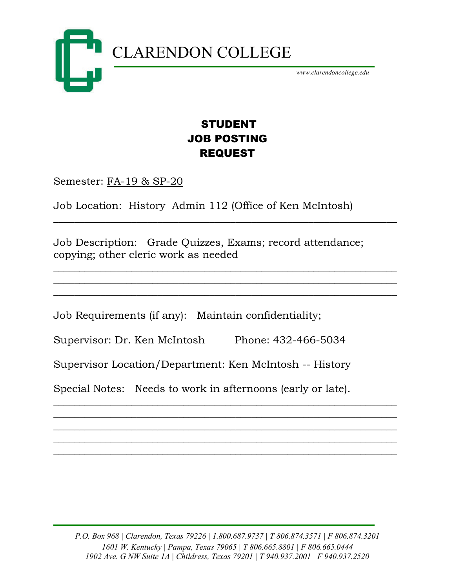

## STUDENT JOB POSTING REQUEST

 $\overline{\phantom{a}}$  , and the contract of the contract of the contract of the contract of the contract of the contract of the contract of the contract of the contract of the contract of the contract of the contract of the contrac

 $\overline{\phantom{a}}$  , and the contract of the contract of the contract of the contract of the contract of the contract of the contract of the contract of the contract of the contract of the contract of the contract of the contrac  $\overline{\phantom{a}}$  , and the contract of the contract of the contract of the contract of the contract of the contract of the contract of the contract of the contract of the contract of the contract of the contract of the contrac  $\overline{\phantom{a}}$  , and the contract of the contract of the contract of the contract of the contract of the contract of the contract of the contract of the contract of the contract of the contract of the contract of the contrac

Semester: FA-19 & SP-20

Job Location: History Admin 112 (Office of Ken McIntosh)

Job Description: Grade Quizzes, Exams; record attendance; copying; other cleric work as needed

Job Requirements (if any): Maintain confidentiality;

Supervisor: Dr. Ken McIntosh Phone: 432-466-5034

Supervisor Location/Department: Ken McIntosh -- History

Special Notes: Needs to work in afternoons (early or late).

 $\overline{\phantom{a}}$  , and the contract of the contract of the contract of the contract of the contract of the contract of the contract of the contract of the contract of the contract of the contract of the contract of the contrac  $\overline{\phantom{a}}$  , and the contract of the contract of the contract of the contract of the contract of the contract of the contract of the contract of the contract of the contract of the contract of the contract of the contrac  $\overline{\phantom{a}}$  , and the contract of the contract of the contract of the contract of the contract of the contract of the contract of the contract of the contract of the contract of the contract of the contract of the contrac  $\overline{\phantom{a}}$  , and the contract of the contract of the contract of the contract of the contract of the contract of the contract of the contract of the contract of the contract of the contract of the contract of the contrac  $\overline{\phantom{a}}$  , and the contract of the contract of the contract of the contract of the contract of the contract of the contract of the contract of the contract of the contract of the contract of the contract of the contrac

*P.O. Box 968 | Clarendon, Texas 79226 | 1.800.687.9737 | T 806.874.3571 | F 806.874.3201 1601 W. Kentucky | Pampa, Texas 79065 | T 806.665.8801 | F 806.665.0444 1902 Ave. G NW Suite 1A | Childress, Texas 79201 | T 940.937.2001 | F 940.937.2520*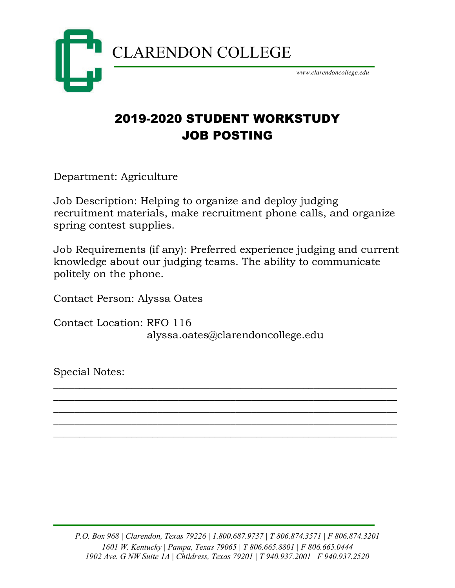

# 2019-2020 STUDENT WORKSTUDY JOB POSTING

Department: Agriculture

Job Description: Helping to organize and deploy judging recruitment materials, make recruitment phone calls, and organize spring contest supplies.

Job Requirements (if any): Preferred experience judging and current knowledge about our judging teams. The ability to communicate politely on the phone.

 $\overline{\phantom{a}}$  , and the contract of the contract of the contract of the contract of the contract of the contract of the contract of the contract of the contract of the contract of the contract of the contract of the contrac  $\overline{\phantom{a}}$  , and the contract of the contract of the contract of the contract of the contract of the contract of the contract of the contract of the contract of the contract of the contract of the contract of the contrac  $\overline{\phantom{a}}$  , and the contract of the contract of the contract of the contract of the contract of the contract of the contract of the contract of the contract of the contract of the contract of the contract of the contrac  $\overline{\phantom{a}}$  , and the contract of the contract of the contract of the contract of the contract of the contract of the contract of the contract of the contract of the contract of the contract of the contract of the contrac \_\_\_\_\_\_\_\_\_\_\_\_\_\_\_\_\_\_\_\_\_\_\_\_\_\_\_\_\_\_\_\_\_\_\_\_\_\_\_\_\_\_\_\_\_\_\_\_\_\_\_\_\_\_\_\_\_\_\_\_\_\_\_\_\_\_

Contact Person: Alyssa Oates

Contact Location: RFO 116 alyssa.oates@clarendoncollege.edu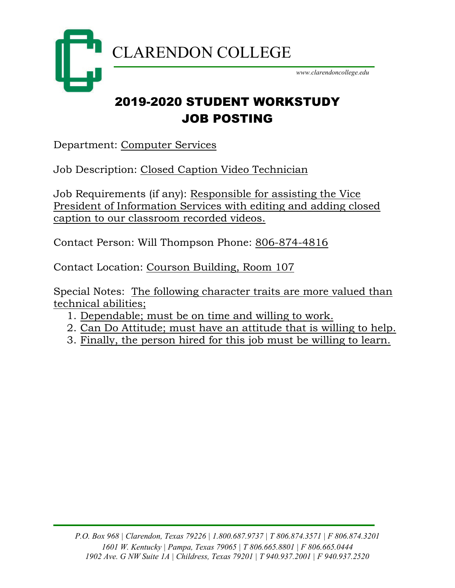

## 2019-2020 STUDENT WORKSTUDY JOB POSTING

Department: Computer Services

Job Description: Closed Caption Video Technician

Job Requirements (if any): Responsible for assisting the Vice President of Information Services with editing and adding closed caption to our classroom recorded videos.

Contact Person: Will Thompson Phone: 806-874-4816

Contact Location: Courson Building, Room 107

Special Notes: The following character traits are more valued than technical abilities;

- 1. Dependable; must be on time and willing to work.
- 2. Can Do Attitude; must have an attitude that is willing to help.
- 3. Finally, the person hired for this job must be willing to learn.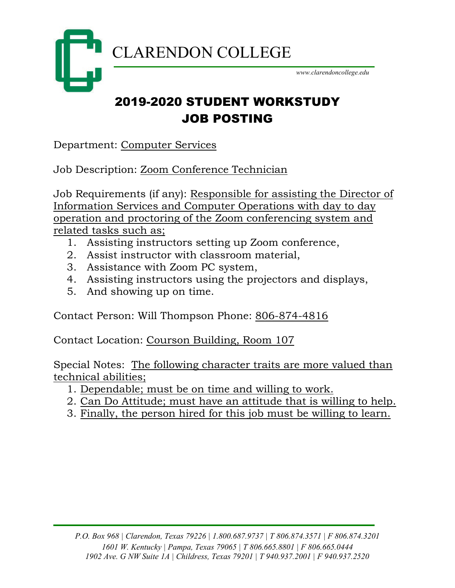

# 2019-2020 STUDENT WORKSTUDY JOB POSTING

Department: Computer Services

Job Description: Zoom Conference Technician

Job Requirements (if any): Responsible for assisting the Director of Information Services and Computer Operations with day to day operation and proctoring of the Zoom conferencing system and related tasks such as;

- 1. Assisting instructors setting up Zoom conference,
- 2. Assist instructor with classroom material,
- 3. Assistance with Zoom PC system,
- 4. Assisting instructors using the projectors and displays,
- 5. And showing up on time.

Contact Person: Will Thompson Phone: 806-874-4816

Contact Location: Courson Building, Room 107

Special Notes: The following character traits are more valued than technical abilities;

- 1. Dependable; must be on time and willing to work.
- 2. Can Do Attitude; must have an attitude that is willing to help.
- 3. Finally, the person hired for this job must be willing to learn.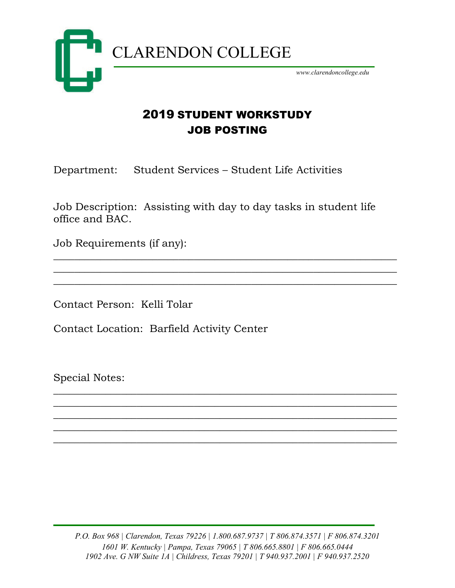

#### 2019 STUDENT WORKSTUDY JOB POSTING

Department: Student Services – Student Life Activities

Job Description: Assisting with day to day tasks in student life office and BAC.

 $\overline{\phantom{a}}$  , and the contract of the contract of the contract of the contract of the contract of the contract of the contract of the contract of the contract of the contract of the contract of the contract of the contrac  $\overline{\phantom{a}}$  , and the contract of the contract of the contract of the contract of the contract of the contract of the contract of the contract of the contract of the contract of the contract of the contract of the contrac  $\overline{\phantom{a}}$  , and the contract of the contract of the contract of the contract of the contract of the contract of the contract of the contract of the contract of the contract of the contract of the contract of the contrac

 $\overline{\phantom{a}}$  , and the contract of the contract of the contract of the contract of the contract of the contract of the contract of the contract of the contract of the contract of the contract of the contract of the contrac  $\overline{\phantom{a}}$  , and the contract of the contract of the contract of the contract of the contract of the contract of the contract of the contract of the contract of the contract of the contract of the contract of the contrac  $\overline{\phantom{a}}$  , and the contract of the contract of the contract of the contract of the contract of the contract of the contract of the contract of the contract of the contract of the contract of the contract of the contrac  $\overline{\phantom{a}}$  , and the contract of the contract of the contract of the contract of the contract of the contract of the contract of the contract of the contract of the contract of the contract of the contract of the contrac  $\overline{\phantom{a}}$  , and the contract of the contract of the contract of the contract of the contract of the contract of the contract of the contract of the contract of the contract of the contract of the contract of the contrac

Job Requirements (if any):

Contact Person: Kelli Tolar

Contact Location: Barfield Activity Center

Special Notes:

*P.O. Box 968 | Clarendon, Texas 79226 | 1.800.687.9737 | T 806.874.3571 | F 806.874.3201 1601 W. Kentucky | Pampa, Texas 79065 | T 806.665.8801 | F 806.665.0444 1902 Ave. G NW Suite 1A | Childress, Texas 79201 | T 940.937.2001 | F 940.937.2520*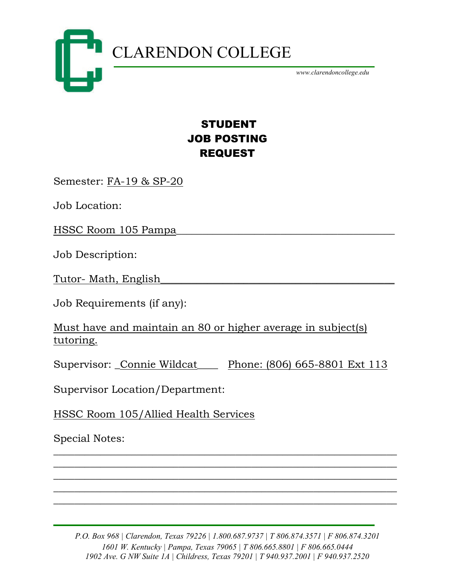

## STUDENT JOB POSTING REQUEST

Semester: FA-19 & SP-20

Job Location:

HSSC Room 105 Pampa\_\_\_\_\_\_\_\_\_\_\_\_\_\_\_\_\_\_\_\_\_\_\_\_\_\_\_\_\_\_\_\_\_\_\_\_\_\_\_\_\_\_

Job Description:

Tutor- Math, English

Job Requirements (if any):

Must have and maintain an 80 or higher average in subject(s) tutoring.

Supervisor: \_Connie Wildcat\_\_\_\_ Phone: (806) 665-8801 Ext 113

Supervisor Location/Department:

HSSC Room 105/Allied Health Services

Special Notes:

*P.O. Box 968 | Clarendon, Texas 79226 | 1.800.687.9737 | T 806.874.3571 | F 806.874.3201 1601 W. Kentucky | Pampa, Texas 79065 | T 806.665.8801 | F 806.665.0444 1902 Ave. G NW Suite 1A | Childress, Texas 79201 | T 940.937.2001 | F 940.937.2520*

\_\_\_\_\_\_\_\_\_\_\_\_\_\_\_\_\_\_\_\_\_\_\_\_\_\_\_\_\_\_\_\_\_\_\_\_\_\_\_\_\_\_\_\_\_\_\_\_\_\_\_\_\_\_\_\_\_\_\_\_\_\_\_\_\_\_ \_\_\_\_\_\_\_\_\_\_\_\_\_\_\_\_\_\_\_\_\_\_\_\_\_\_\_\_\_\_\_\_\_\_\_\_\_\_\_\_\_\_\_\_\_\_\_\_\_\_\_\_\_\_\_\_\_\_\_\_\_\_\_\_\_\_ \_\_\_\_\_\_\_\_\_\_\_\_\_\_\_\_\_\_\_\_\_\_\_\_\_\_\_\_\_\_\_\_\_\_\_\_\_\_\_\_\_\_\_\_\_\_\_\_\_\_\_\_\_\_\_\_\_\_\_\_\_\_\_\_\_\_ \_\_\_\_\_\_\_\_\_\_\_\_\_\_\_\_\_\_\_\_\_\_\_\_\_\_\_\_\_\_\_\_\_\_\_\_\_\_\_\_\_\_\_\_\_\_\_\_\_\_\_\_\_\_\_\_\_\_\_\_\_\_\_\_\_\_ \_\_\_\_\_\_\_\_\_\_\_\_\_\_\_\_\_\_\_\_\_\_\_\_\_\_\_\_\_\_\_\_\_\_\_\_\_\_\_\_\_\_\_\_\_\_\_\_\_\_\_\_\_\_\_\_\_\_\_\_\_\_\_\_\_\_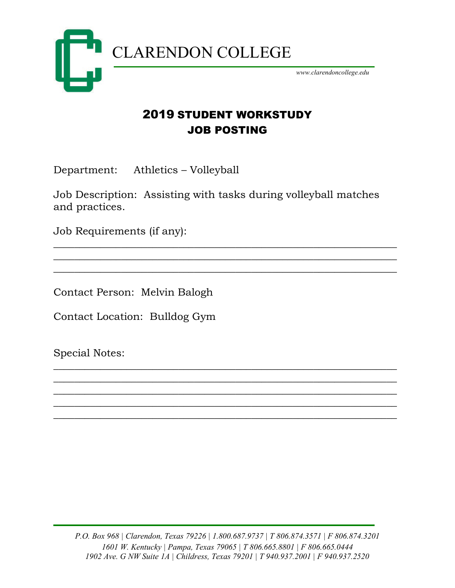

### 2019 STUDENT WORKSTUDY JOB POSTING

Department: Athletics – Volleyball

Job Description: Assisting with tasks during volleyball matches and practices.

 $\overline{\phantom{a}}$  , and the contract of the contract of the contract of the contract of the contract of the contract of the contract of the contract of the contract of the contract of the contract of the contract of the contrac  $\overline{\phantom{a}}$  , and the contract of the contract of the contract of the contract of the contract of the contract of the contract of the contract of the contract of the contract of the contract of the contract of the contrac  $\overline{\phantom{a}}$  , and the contract of the contract of the contract of the contract of the contract of the contract of the contract of the contract of the contract of the contract of the contract of the contract of the contrac

\_\_\_\_\_\_\_\_\_\_\_\_\_\_\_\_\_\_\_\_\_\_\_\_\_\_\_\_\_\_\_\_\_\_\_\_\_\_\_\_\_\_\_\_\_\_\_\_\_\_\_\_\_\_\_\_\_\_\_\_\_\_\_\_\_\_ \_\_\_\_\_\_\_\_\_\_\_\_\_\_\_\_\_\_\_\_\_\_\_\_\_\_\_\_\_\_\_\_\_\_\_\_\_\_\_\_\_\_\_\_\_\_\_\_\_\_\_\_\_\_\_\_\_\_\_\_\_\_\_\_\_\_ \_\_\_\_\_\_\_\_\_\_\_\_\_\_\_\_\_\_\_\_\_\_\_\_\_\_\_\_\_\_\_\_\_\_\_\_\_\_\_\_\_\_\_\_\_\_\_\_\_\_\_\_\_\_\_\_\_\_\_\_\_\_\_\_\_\_ \_\_\_\_\_\_\_\_\_\_\_\_\_\_\_\_\_\_\_\_\_\_\_\_\_\_\_\_\_\_\_\_\_\_\_\_\_\_\_\_\_\_\_\_\_\_\_\_\_\_\_\_\_\_\_\_\_\_\_\_\_\_\_\_\_\_ \_\_\_\_\_\_\_\_\_\_\_\_\_\_\_\_\_\_\_\_\_\_\_\_\_\_\_\_\_\_\_\_\_\_\_\_\_\_\_\_\_\_\_\_\_\_\_\_\_\_\_\_\_\_\_\_\_\_\_\_\_\_\_\_\_\_

Job Requirements (if any):

Contact Person: Melvin Balogh

Contact Location: Bulldog Gym